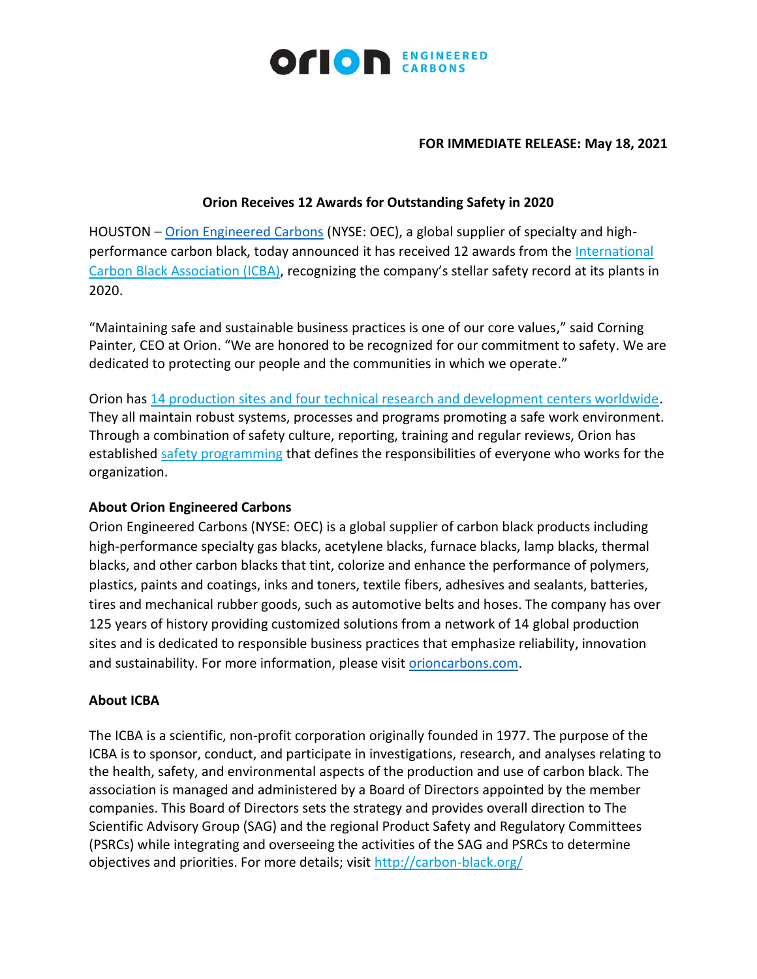

### **FOR IMMEDIATE RELEASE: May 18, 2021**

## **Orion Receives 12 Awards for Outstanding Safety in 2020**

HOUSTON – [Orion Engineered Carbons](https://www.orioncarbons.com/index_en.php) (NYSE: OEC), a global supplier of specialty and highperformance carbon black, today announced it has received 12 awards from the [International](https://cts.businesswire.com/ct/CT?id=smartlink&url=http%3A%2F%2Fwww.carbon-black.org%2F&esheet=52431764&newsitemid=20210518006076&lan=en-US&anchor=International+Carbon+Black+Association+%28ICBA%29&index=2&md5=edbdc8248e7b076ca57155be4c0de909)  [Carbon Black Association \(ICBA\),](https://cts.businesswire.com/ct/CT?id=smartlink&url=http%3A%2F%2Fwww.carbon-black.org%2F&esheet=52431764&newsitemid=20210518006076&lan=en-US&anchor=International+Carbon+Black+Association+%28ICBA%29&index=2&md5=edbdc8248e7b076ca57155be4c0de909) recognizing the company's stellar safety record at its plants in 2020.

"Maintaining safe and sustainable business practices is one of our core values," said Corning Painter, CEO at Orion. "We are honored to be recognized for our commitment to safety. We are dedicated to protecting our people and the communities in which we operate."

Orion has [14 production sites and four technical research and development centers worldwide.](https://cts.businesswire.com/ct/CT?id=smartlink&url=https%3A%2F%2Fwww.orioncarbons.com%2Fall_locations&esheet=52431764&newsitemid=20210518006076&lan=en-US&anchor=14+production+sites+and+four+technical+research+and+development+centers+worldwide&index=3&md5=9744da85f7ea22528738f3843db2a39f) They all maintain robust systems, processes and programs promoting a safe work environment. Through a combination of safety culture, reporting, training and regular reviews, Orion has established [safety programming](https://cts.businesswire.com/ct/CT?id=smartlink&url=https%3A%2F%2Fwww.orioncarbons.com%2Fwork_safety_process_safety&esheet=52431764&newsitemid=20210518006076&lan=en-US&anchor=safety+programming&index=4&md5=bf7d8e3751c0a403306f56f5258d3872) that defines the responsibilities of everyone who works for the organization.

## **About Orion Engineered Carbons**

Orion Engineered Carbons (NYSE: OEC) is a global supplier of carbon black products including high-performance specialty gas blacks, acetylene blacks, furnace blacks, lamp blacks, thermal blacks, and other carbon blacks that tint, colorize and enhance the performance of polymers, plastics, paints and coatings, inks and toners, textile fibers, adhesives and sealants, batteries, tires and mechanical rubber goods, such as automotive belts and hoses. The company has over 125 years of history providing customized solutions from a network of 14 global production sites and is dedicated to responsible business practices that emphasize reliability, innovation and sustainability. For more information, please visit [orioncarbons.com.](https://www.orioncarbons.com/index_en.php)

# **About ICBA**

The ICBA is a scientific, non-profit corporation originally founded in 1977. The purpose of the ICBA is to sponsor, conduct, and participate in investigations, research, and analyses relating to the health, safety, and environmental aspects of the production and use of carbon black. The association is managed and administered by a Board of Directors appointed by the member companies. This Board of Directors sets the strategy and provides overall direction to The Scientific Advisory Group (SAG) and the regional Product Safety and Regulatory Committees (PSRCs) while integrating and overseeing the activities of the SAG and PSRCs to determine objectives and priorities. For more details; visit [http://carbon-black.org/](https://cts.businesswire.com/ct/CT?id=smartlink&url=http%3A%2F%2Fcarbon-black.org%2F&esheet=52431764&newsitemid=20210518006076&lan=en-US&anchor=http%3A%2F%2Fcarbon-black.org%2F&index=7&md5=e096313391ea159c28fae79918da0a1f)